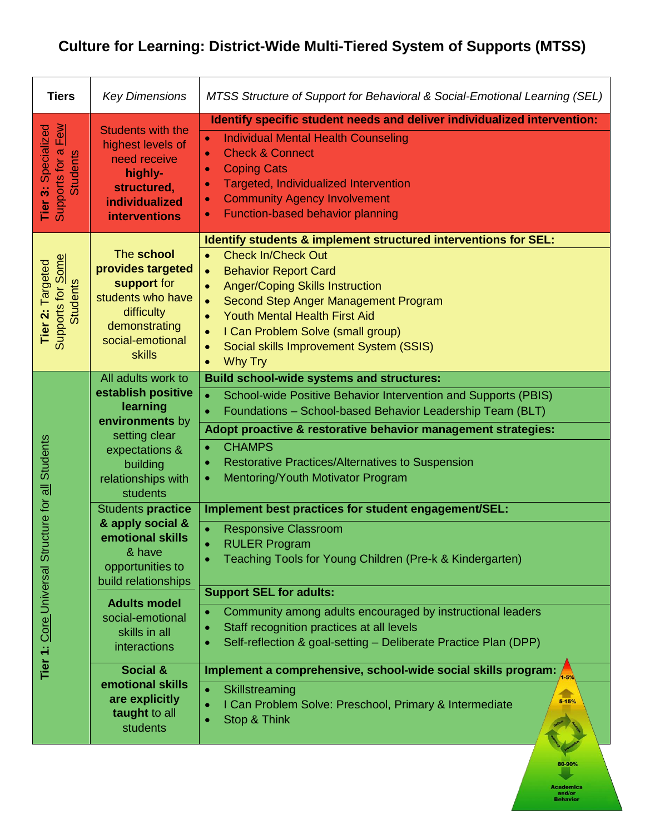## **Culture for Learning: District-Wide Multi-Tiered System of Supports (MTSS)**

| <b>Tiers</b>                                                                         | <b>Key Dimensions</b>                                                                                                                                    | MTSS Structure of Support for Behavioral & Social-Emotional Learning (SEL)                                                                                                                                                                                                                                                                                                                                                                  |
|--------------------------------------------------------------------------------------|----------------------------------------------------------------------------------------------------------------------------------------------------------|---------------------------------------------------------------------------------------------------------------------------------------------------------------------------------------------------------------------------------------------------------------------------------------------------------------------------------------------------------------------------------------------------------------------------------------------|
| Few<br>Specialized<br><b>Tier 3: Speciali</b><br>Supports for a <u>F</u><br>Students | <b>Students with the</b><br>highest levels of<br>need receive<br>highly-<br>structured,<br><b>individualized</b><br><b>interventions</b>                 | Identify specific student needs and deliver individualized intervention:<br><b>Individual Mental Health Counseling</b><br>$\bullet$<br><b>Check &amp; Connect</b><br>$\bullet$<br><b>Coping Cats</b><br>$\bullet$<br>Targeted, Individualized Intervention<br>$\bullet$<br><b>Community Agency Involvement</b><br>$\bullet$<br><b>Function-based behavior planning</b><br>$\bullet$                                                         |
| Supports for <b>Some</b><br>Tier 2: Targeted<br><b>Students</b>                      | The school<br>provides targeted<br>support for<br>students who have<br>difficulty<br>demonstrating<br>social-emotional<br><b>skills</b>                  | Identify students & implement structured interventions for SEL:<br><b>Check In/Check Out</b><br><b>Behavior Report Card</b><br>$\bullet$<br><b>Anger/Coping Skills Instruction</b><br>$\bullet$<br>Second Step Anger Management Program<br>$\bullet$<br><b>Youth Mental Health First Aid</b><br>$\bullet$<br>I Can Problem Solve (small group)<br>$\bullet$<br>Social skills Improvement System (SSIS)<br>$\bullet$<br>Why Try<br>$\bullet$ |
| ructure for all Students<br>Tier 1: Core Universal St                                | All adults work to<br>establish positive<br>learning<br>environments by<br>setting clear<br>expectations &<br>building<br>relationships with<br>students | <b>Build school-wide systems and structures:</b><br>School-wide Positive Behavior Intervention and Supports (PBIS)<br>$\bullet$<br>Foundations - School-based Behavior Leadership Team (BLT)<br>$\bullet$<br>Adopt proactive & restorative behavior management strategies:<br><b>CHAMPS</b><br>$\bullet$<br><b>Restorative Practices/Alternatives to Suspension</b><br>٠<br>Mentoring/Youth Motivator Program<br>٠                          |
|                                                                                      | Students practice<br>& apply social &<br>emotional skills<br>& have<br>opportunities to<br>build relationships                                           | Implement best practices for student engagement/SEL:<br><b>Responsive Classroom</b><br><b>RULER Program</b><br>$\bullet$<br>Teaching Tools for Young Children (Pre-k & Kindergarten)<br><b>Support SEL for adults:</b>                                                                                                                                                                                                                      |
|                                                                                      | <b>Adults model</b><br>social-emotional<br>skills in all<br><b>interactions</b>                                                                          | Community among adults encouraged by instructional leaders<br>Staff recognition practices at all levels<br>$\bullet$<br>Self-reflection & goal-setting - Deliberate Practice Plan (DPP)                                                                                                                                                                                                                                                     |
|                                                                                      | <b>Social &amp;</b><br>emotional skills<br>are explicitly<br>taught to all<br>students                                                                   | Implement a comprehensive, school-wide social skills program:<br>$1 - 5%$<br>Skillstreaming<br>$5 - 15%$<br>I Can Problem Solve: Preschool, Primary & Intermediate<br>Stop & Think                                                                                                                                                                                                                                                          |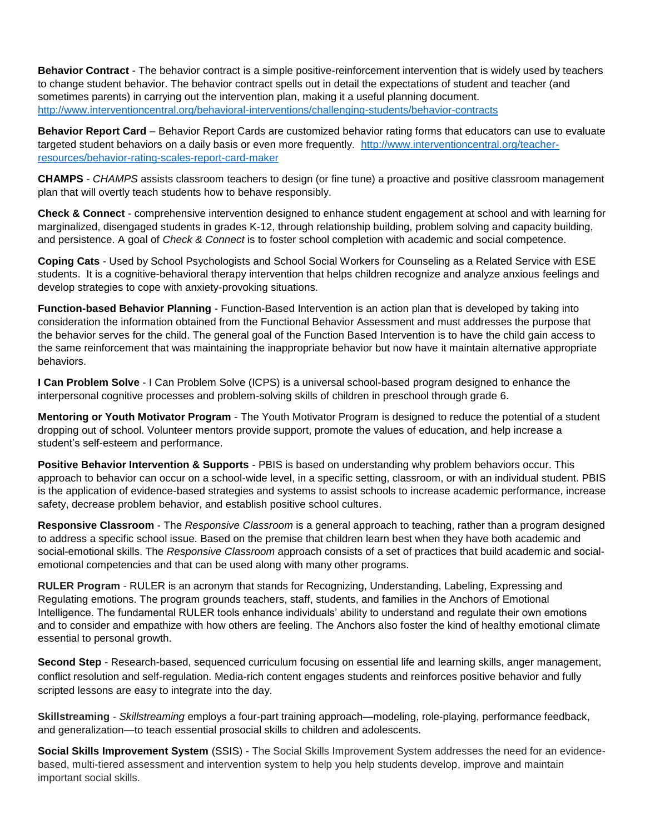**Behavior Contract** - The behavior contract is a simple positive-reinforcement intervention that is widely used by teachers to change student behavior. The behavior contract spells out in detail the expectations of student and teacher (and sometimes parents) in carrying out the intervention plan, making it a useful planning document. <http://www.interventioncentral.org/behavioral-interventions/challenging-students/behavior-contracts>

**Behavior Report Card** – Behavior Report Cards are customized behavior rating forms that educators can use to evaluate targeted student behaviors on a daily basis or even more frequently. [http://www.interventioncentral.org/teacher](http://www.interventioncentral.org/teacher-resources/behavior-rating-scales-report-card-maker)[resources/behavior-rating-scales-report-card-maker](http://www.interventioncentral.org/teacher-resources/behavior-rating-scales-report-card-maker)

**CHAMPS** - *CHAMPS* assists classroom teachers to design (or fine tune) a proactive and positive classroom management plan that will overtly teach students how to behave responsibly.

**Check & Connect** - comprehensive intervention designed to enhance student engagement at school and with learning for marginalized, disengaged students in grades K-12, through relationship building, problem solving and capacity building, and persistence. A goal of *Check & Connect* is to foster school completion with academic and social competence.

**Coping Cats** - Used by School Psychologists and School Social Workers for Counseling as a Related Service with ESE students. It is a cognitive-behavioral therapy intervention that helps children recognize and analyze anxious feelings and develop strategies to cope with anxiety-provoking situations.

**Function-based Behavior Planning** - Function-Based Intervention is an action plan that is developed by taking into consideration the information obtained from the Functional Behavior Assessment and must addresses the purpose that the behavior serves for the child. The general goal of the Function Based Intervention is to have the child gain access to the same reinforcement that was maintaining the inappropriate behavior but now have it maintain alternative appropriate behaviors.

**I Can Problem Solve** - I Can Problem Solve (ICPS) is a universal school-based program designed to enhance the interpersonal cognitive processes and problem-solving skills of children in preschool through grade 6.

**Mentoring or Youth Motivator Program** - The Youth Motivator Program is designed to reduce the potential of a student dropping out of school. Volunteer mentors provide support, promote the values of education, and help increase a student's self-esteem and performance.

**Positive Behavior Intervention & Supports** - PBIS is based on understanding why problem behaviors occur. This approach to behavior can occur on a school-wide level, in a specific setting, classroom, or with an individual student. PBIS is the application of evidence-based strategies and systems to assist schools to increase academic performance, increase safety, decrease problem behavior, and establish positive school cultures.

**Responsive Classroom** - The *Responsive Classroom* is a general approach to teaching, rather than a program designed to address a specific school issue. Based on the premise that children learn best when they have both academic and social-emotional skills. The *Responsive Classroom* approach consists of a set of practices that build academic and socialemotional competencies and that can be used along with many other programs.

**RULER Program** - RULER is an acronym that stands for Recognizing, Understanding, Labeling, Expressing and Regulating emotions. The program grounds teachers, staff, students, and families in the Anchors of Emotional Intelligence. The fundamental RULER tools enhance individuals' ability to understand and regulate their own emotions and to consider and empathize with how others are feeling. The Anchors also foster the kind of healthy emotional climate essential to personal growth.

**Second Step** - Research-based, sequenced curriculum focusing on essential life and learning skills, anger management, conflict resolution and self-regulation. Media-rich content engages students and reinforces positive behavior and fully scripted lessons are easy to integrate into the day.

**Skillstreaming** - *Skillstreaming* employs a four-part training approach—modeling, role-playing, performance feedback, and generalization—to teach essential prosocial skills to children and adolescents.

**Social Skills Improvement System** (SSIS) - The Social Skills Improvement System addresses the need for an evidencebased, multi-tiered assessment and intervention system to help you help students develop, improve and maintain important social skills.